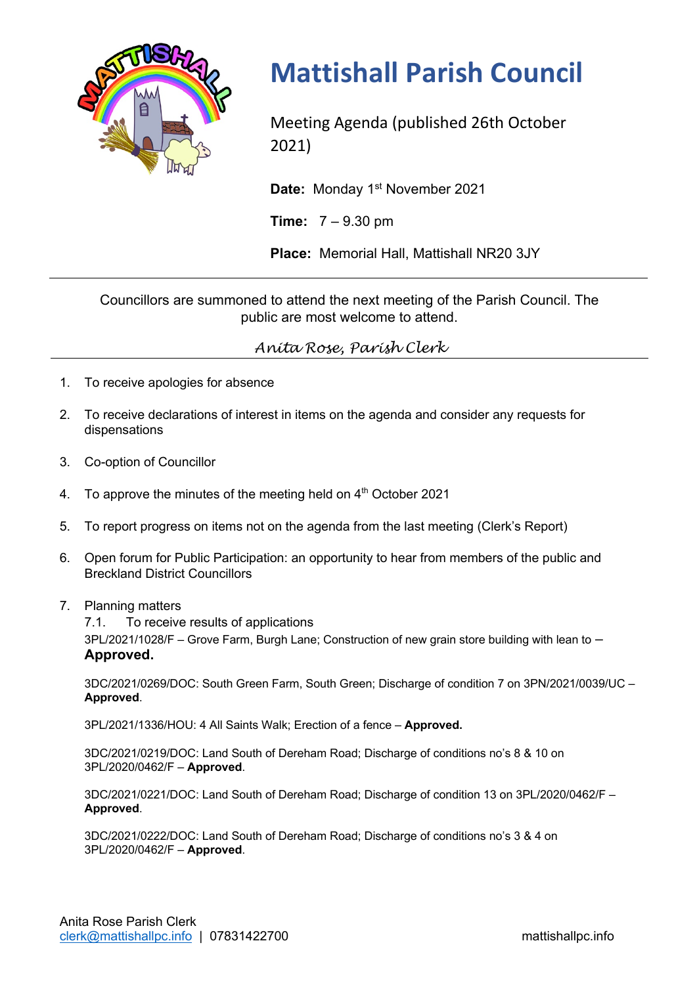

## **Mattishall Parish Council**

Meeting Agenda (published 26th October 2021)

Date: Monday 1<sup>st</sup> November 2021

**Time:** 7 – 9.30 pm

**Place:** Memorial Hall, Mattishall NR20 3JY

Councillors are summoned to attend the next meeting of the Parish Council. The public are most welcome to attend.

*Anita Rose, Parish Clerk*

- 1. To receive apologies for absence
- 2. To receive declarations of interest in items on the agenda and consider any requests for dispensations
- 3. Co-option of Councillor
- 4. To approve the minutes of the meeting held on  $4<sup>th</sup>$  October 2021
- 5. To report progress on items not on the agenda from the last meeting (Clerk's Report)
- 6. Open forum for Public Participation: an opportunity to hear from members of the public and Breckland District Councillors
- 7. Planning matters
	- 7.1. To receive results of applications

 $3PL/2021/1028/F$  – Grove Farm, Burgh Lane; Construction of new grain store building with lean to  $-$ **Approved.**

3DC/2021/0269/DOC: South Green Farm, South Green; Discharge of condition 7 on 3PN/2021/0039/UC – **Approved**.

3PL/2021/1336/HOU: 4 All Saints Walk; Erection of a fence – **Approved.**

3DC/2021/0219/DOC: Land South of Dereham Road; Discharge of conditions no's 8 & 10 on 3PL/2020/0462/F – **Approved**.

3DC/2021/0221/DOC: Land South of Dereham Road; Discharge of condition 13 on 3PL/2020/0462/F – **Approved**.

3DC/2021/0222/DOC: Land South of Dereham Road; Discharge of conditions no's 3 & 4 on 3PL/2020/0462/F – **Approved**.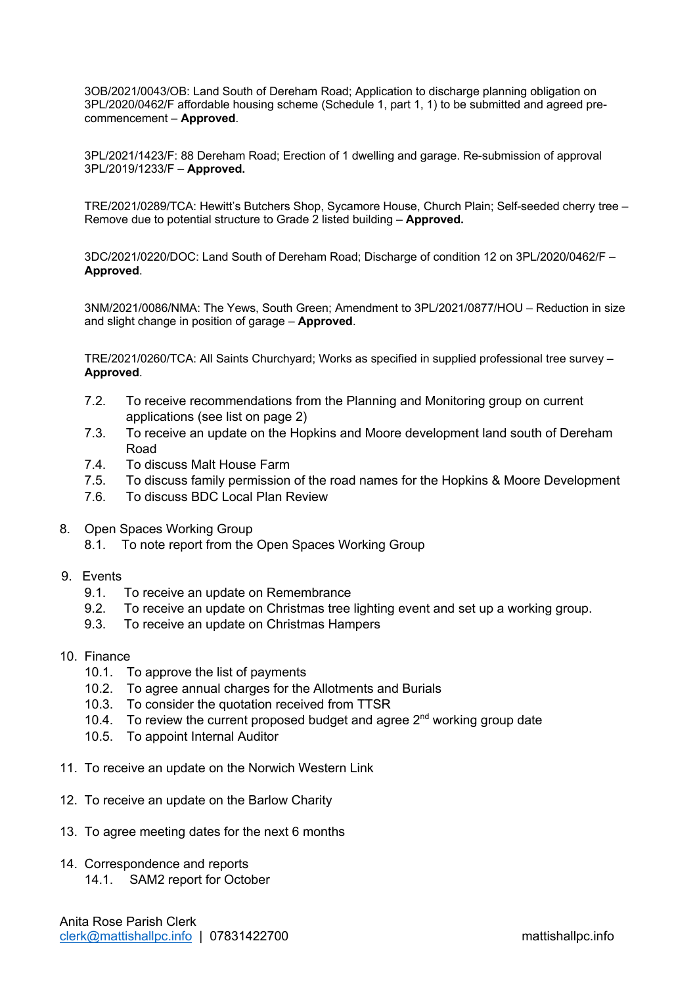3OB/2021/0043/OB: Land South of Dereham Road; Application to discharge planning obligation on 3PL/2020/0462/F affordable housing scheme (Schedule 1, part 1, 1) to be submitted and agreed precommencement – **Approved**.

3PL/2021/1423/F: 88 Dereham Road; Erection of 1 dwelling and garage. Re-submission of approval 3PL/2019/1233/F – **Approved.**

TRE/2021/0289/TCA: Hewitt's Butchers Shop, Sycamore House, Church Plain; Self-seeded cherry tree – Remove due to potential structure to Grade 2 listed building – **Approved.**

3DC/2021/0220/DOC: Land South of Dereham Road; Discharge of condition 12 on 3PL/2020/0462/F – **Approved**.

3NM/2021/0086/NMA: The Yews, South Green; Amendment to 3PL/2021/0877/HOU – Reduction in size and slight change in position of garage – **Approved**.

TRE/2021/0260/TCA: All Saints Churchyard; Works as specified in supplied professional tree survey – **Approved**.

- 7.2. To receive recommendations from the Planning and Monitoring group on current applications (see list on page 2)
- 7.3. To receive an update on the Hopkins and Moore development land south of Dereham Road
- 7.4. To discuss Malt House Farm
- 7.5. To discuss family permission of the road names for the Hopkins & Moore Development
- 7.6. To discuss BDC Local Plan Review
- 8. Open Spaces Working Group
	- 8.1. To note report from the Open Spaces Working Group
- 9. Events
	- 9.1. To receive an update on Remembrance
	- 9.2. To receive an update on Christmas tree lighting event and set up a working group.
	- 9.3. To receive an update on Christmas Hampers
- 10. Finance
	- 10.1. To approve the list of payments
	- 10.2. To agree annual charges for the Allotments and Burials
	- 10.3. To consider the quotation received from TTSR
	- 10.4. To review the current proposed budget and agree  $2^{nd}$  working group date
	- 10.5. To appoint Internal Auditor
- 11. To receive an update on the Norwich Western Link
- 12. To receive an update on the Barlow Charity
- 13. To agree meeting dates for the next 6 months
- 14. Correspondence and reports
	- 14.1. SAM2 report for October